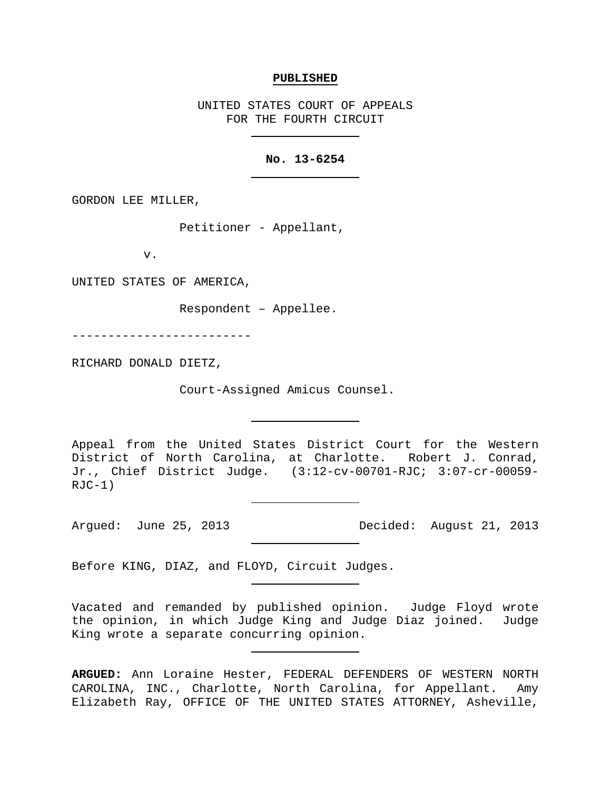#### **PUBLISHED**

UNITED STATES COURT OF APPEALS FOR THE FOURTH CIRCUIT

### **No. 13-6254**

GORDON LEE MILLER,

Petitioner - Appellant,

v.

UNITED STATES OF AMERICA,

Respondent – Appellee.

-------------------------

RICHARD DONALD DIETZ,

Court-Assigned Amicus Counsel.

Appeal from the United States District Court for the Western District of North Carolina, at Charlotte. Robert J. Conrad, Jr., Chief District Judge. (3:12-cv-00701-RJC; 3:07-cr-00059-  $RJC-1)$ 

Argued: June 25, 2013 Decided: August 21, 2013

Before KING, DIAZ, and FLOYD, Circuit Judges.

Vacated and remanded by published opinion. Judge Floyd wrote the opinion, in which Judge King and Judge Diaz joined. Judge King wrote a separate concurring opinion.

**ARGUED:** Ann Loraine Hester, FEDERAL DEFENDERS OF WESTERN NORTH CAROLINA, INC., Charlotte, North Carolina, for Appellant.Amy Elizabeth Ray, OFFICE OF THE UNITED STATES ATTORNEY, Asheville,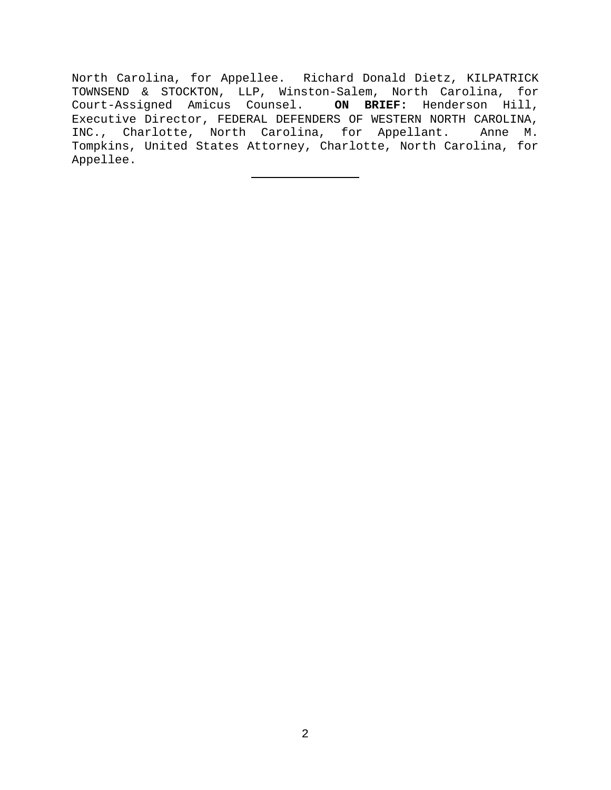North Carolina, for Appellee. Richard Donald Dietz, KILPATRICK TOWNSEND & STOCKTON, LLP, Winston-Salem, North Carolina, for Court-Assigned Amicus Counsel. **ON BRIEF:** Henderson Hill, Executive Director, FEDERAL DEFENDERS OF WESTERN NORTH CAROLINA,<br>INC., Charlotte, North Carolina, for Appellant. Anne M. INC., Charlotte, North Carolina, for Appellant. Tompkins, United States Attorney, Charlotte, North Carolina, for Appellee.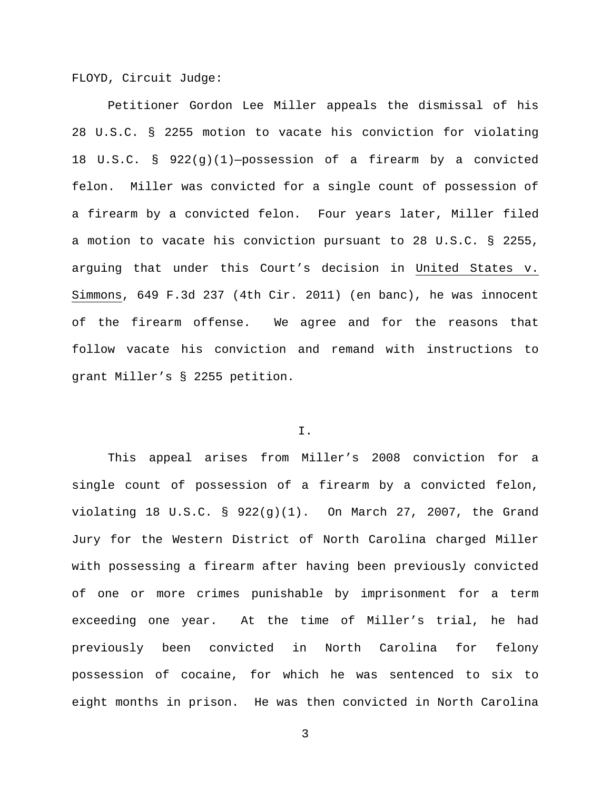FLOYD, Circuit Judge:

Petitioner Gordon Lee Miller appeals the dismissal of his 28 U.S.C. § 2255 motion to vacate his conviction for violating 18 U.S.C. § 922(g)(1)—possession of a firearm by a convicted felon. Miller was convicted for a single count of possession of a firearm by a convicted felon. Four years later, Miller filed a motion to vacate his conviction pursuant to 28 U.S.C. § 2255, arguing that under this Court's decision in United States v. Simmons, 649 F.3d 237 (4th Cir. 2011) (en banc), he was innocent of the firearm offense. We agree and for the reasons that follow vacate his conviction and remand with instructions to grant Miller's § 2255 petition.

# I.

This appeal arises from Miller's 2008 conviction for a single count of possession of a firearm by a convicted felon, violating 18 U.S.C. § 922(g)(1). On March 27, 2007, the Grand Jury for the Western District of North Carolina charged Miller with possessing a firearm after having been previously convicted of one or more crimes punishable by imprisonment for a term exceeding one year. At the time of Miller's trial, he had previously been convicted in North Carolina for felony possession of cocaine, for which he was sentenced to six to eight months in prison. He was then convicted in North Carolina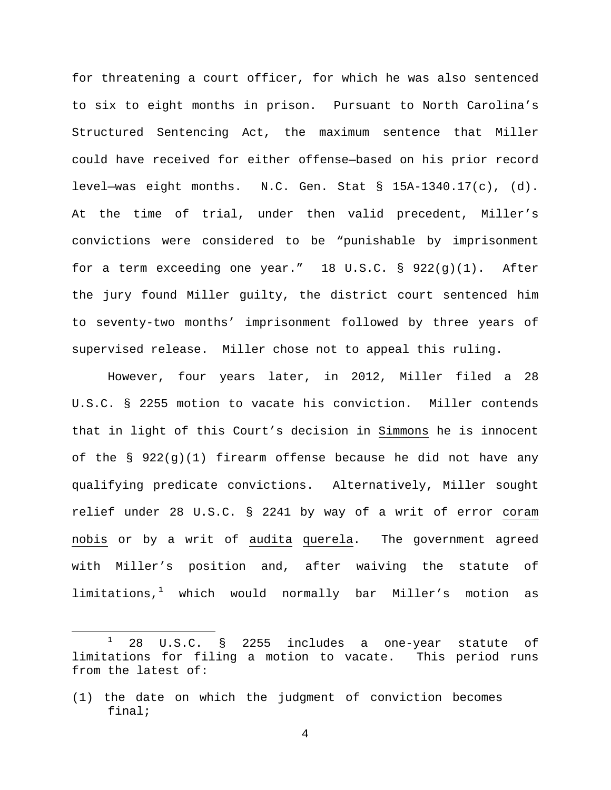for threatening a court officer, for which he was also sentenced to six to eight months in prison. Pursuant to North Carolina's Structured Sentencing Act, the maximum sentence that Miller could have received for either offense—based on his prior record level—was eight months. N.C. Gen. Stat  $\S$  15A-1340.17(c), (d). At the time of trial, under then valid precedent, Miller's convictions were considered to be "punishable by imprisonment for a term exceeding one year." 18 U.S.C. § 922(g)(1). After the jury found Miller guilty, the district court sentenced him to seventy-two months' imprisonment followed by three years of supervised release. Miller chose not to appeal this ruling.

However, four years later, in 2012, Miller filed a 28 U.S.C. § 2255 motion to vacate his conviction. Miller contends that in light of this Court's decision in Simmons he is innocent of the §  $922(q)(1)$  firearm offense because he did not have any qualifying predicate convictions. Alternatively, Miller sought relief under 28 U.S.C. § 2241 by way of a writ of error coram nobis or by a writ of audita querela. The government agreed with Miller's position and, after waiving the statute of  $limitations, <sup>1</sup>$  $limitations, <sup>1</sup>$  $limitations, <sup>1</sup>$  which would normally bar Miller's motion as

l

<span id="page-3-0"></span> $1$  28 U.S.C. § 2255 includes a one-year statute of limitations for filing a motion to vacate. This period runs from the latest of:

<sup>(1)</sup> the date on which the judgment of conviction becomes final;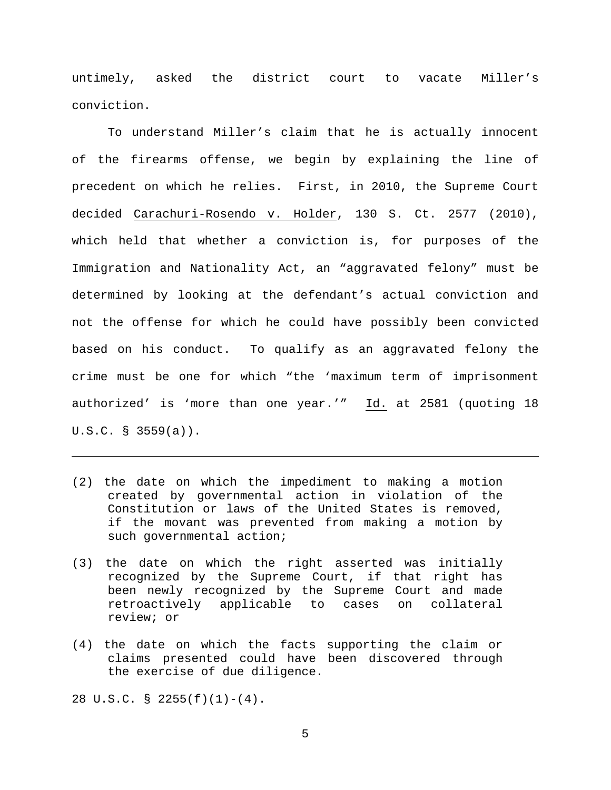untimely, asked the district court to vacate Miller's conviction.

To understand Miller's claim that he is actually innocent of the firearms offense, we begin by explaining the line of precedent on which he relies. First, in 2010, the Supreme Court decided Carachuri-Rosendo v. Holder, 130 S. Ct. 2577 (2010), which held that whether a conviction is, for purposes of the Immigration and Nationality Act, an "aggravated felony" must be determined by looking at the defendant's actual conviction and not the offense for which he could have possibly been convicted based on his conduct. To qualify as an aggravated felony the crime must be one for which "the 'maximum term of imprisonment authorized' is 'more than one year.'" Id. at 2581 (quoting 18 U.S.C. § 3559(a)).

- (2) the date on which the impediment to making a motion created by governmental action in violation of the Constitution or laws of the United States is removed, if the movant was prevented from making a motion by such governmental action;
- (3) the date on which the right asserted was initially recognized by the Supreme Court, if that right has been newly recognized by the Supreme Court and made<br>retroactively applicable to cases on collateral retroactively applicable to cases on review; or
- (4) the date on which the facts supporting the claim or claims presented could have been discovered through the exercise of due diligence.

28 U.S.C. § 2255(f)(1)-(4).

 $\overline{\phantom{a}}$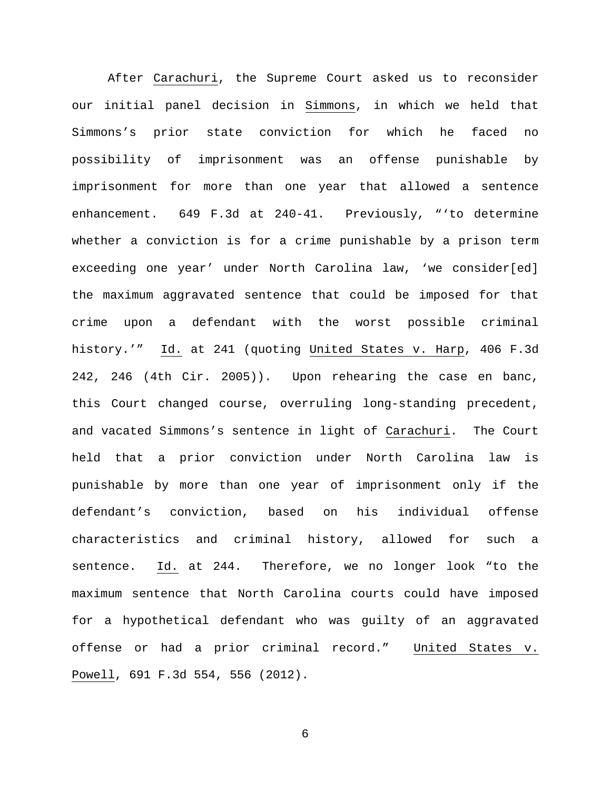After Carachuri, the Supreme Court asked us to reconsider our initial panel decision in Simmons, in which we held that Simmons's prior state conviction for which he faced no possibility of imprisonment was an offense punishable by imprisonment for more than one year that allowed a sentence enhancement. 649 F.3d at 240-41. Previously, "'to determine whether a conviction is for a crime punishable by a prison term exceeding one year' under North Carolina law, 'we consider[ed] the maximum aggravated sentence that could be imposed for that crime upon a defendant with the worst possible criminal history.'" Id. at 241 (quoting United States v. Harp, 406 F.3d 242, 246 (4th Cir. 2005)). Upon rehearing the case en banc, this Court changed course, overruling long-standing precedent, and vacated Simmons's sentence in light of Carachuri. The Court held that a prior conviction under North Carolina law is punishable by more than one year of imprisonment only if the defendant's conviction, based on his individual offense characteristics and criminal history, allowed for such a sentence. Id. at 244. Therefore, we no longer look "to the maximum sentence that North Carolina courts could have imposed for a hypothetical defendant who was guilty of an aggravated offense or had a prior criminal record." United States v. Powell, 691 F.3d 554, 556 (2012).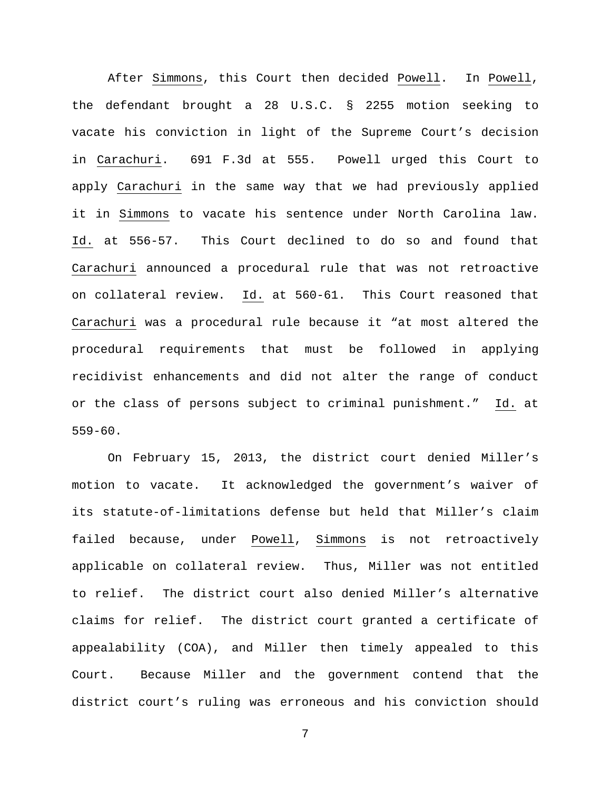After Simmons, this Court then decided Powell. In Powell, the defendant brought a 28 U.S.C. § 2255 motion seeking to vacate his conviction in light of the Supreme Court's decision in Carachuri. 691 F.3d at 555. Powell urged this Court to apply Carachuri in the same way that we had previously applied it in Simmons to vacate his sentence under North Carolina law. Id. at 556-57. This Court declined to do so and found that Carachuri announced a procedural rule that was not retroactive on collateral review. Id. at 560-61. This Court reasoned that Carachuri was a procedural rule because it "at most altered the procedural requirements that must be followed in applying recidivist enhancements and did not alter the range of conduct or the class of persons subject to criminal punishment." Id. at 559-60.

On February 15, 2013, the district court denied Miller's motion to vacate. It acknowledged the government's waiver of its statute-of-limitations defense but held that Miller's claim failed because, under Powell, Simmons is not retroactively applicable on collateral review. Thus, Miller was not entitled to relief. The district court also denied Miller's alternative claims for relief. The district court granted a certificate of appealability (COA), and Miller then timely appealed to this Court. Because Miller and the government contend that the district court's ruling was erroneous and his conviction should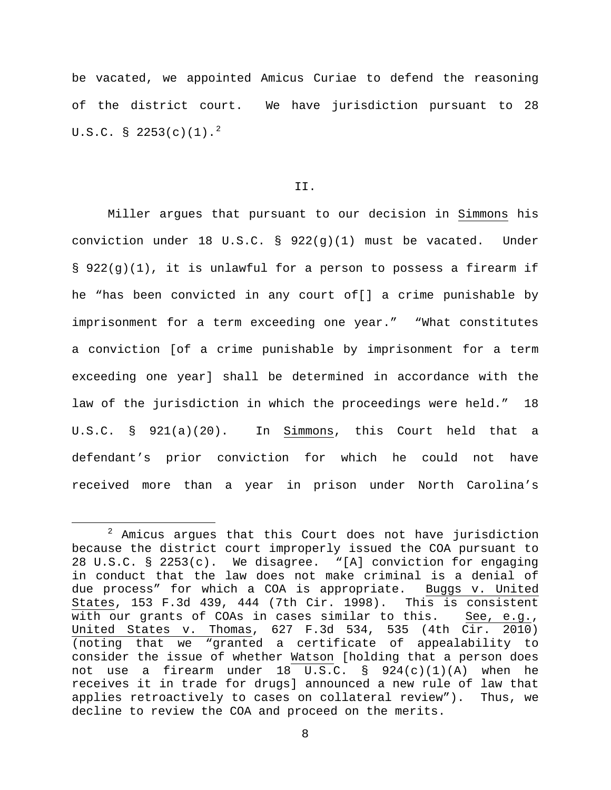be vacated, we appointed Amicus Curiae to defend the reasoning of the district court. We have jurisdiction pursuant to 28 U.S.C. § [2](#page-7-0)253(c)(1).<sup>2</sup>

## II.

Miller argues that pursuant to our decision in Simmons his conviction under 18 U.S.C. § 922(g)(1) must be vacated. Under § 922(g)(1), it is unlawful for a person to possess a firearm if he "has been convicted in any court of[] a crime punishable by imprisonment for a term exceeding one year." "What constitutes a conviction [of a crime punishable by imprisonment for a term exceeding one year] shall be determined in accordance with the law of the jurisdiction in which the proceedings were held." 18 U.S.C. § 921(a)(20). In Simmons, this Court held that a defendant's prior conviction for which he could not have received more than a year in prison under North Carolina's

l

<span id="page-7-0"></span> $2$  Amicus argues that this Court does not have jurisdiction because the district court improperly issued the COA pursuant to 28 U.S.C. § 2253(c). We disagree. "[A] conviction for engaging in conduct that the law does not make criminal is a denial of due process" for which a COA is appropriate. Buggs v. United States, 153 F.3d 439, 444 (7th Cir. 1998). This is consistent with our grants of COAs in cases similar to this. See, e.g., United States v. Thomas, 627 F.3d 534, 535 (4th Cir. 2010) (noting that we "granted a certificate of appealability to consider the issue of whether Watson [holding that a person does not use a firearm under 18 U.S.C. § 924(c)(1)(A) when he receives it in trade for drugs] announced a new rule of law that applies retroactively to cases on collateral review"). Thus, we decline to review the COA and proceed on the merits.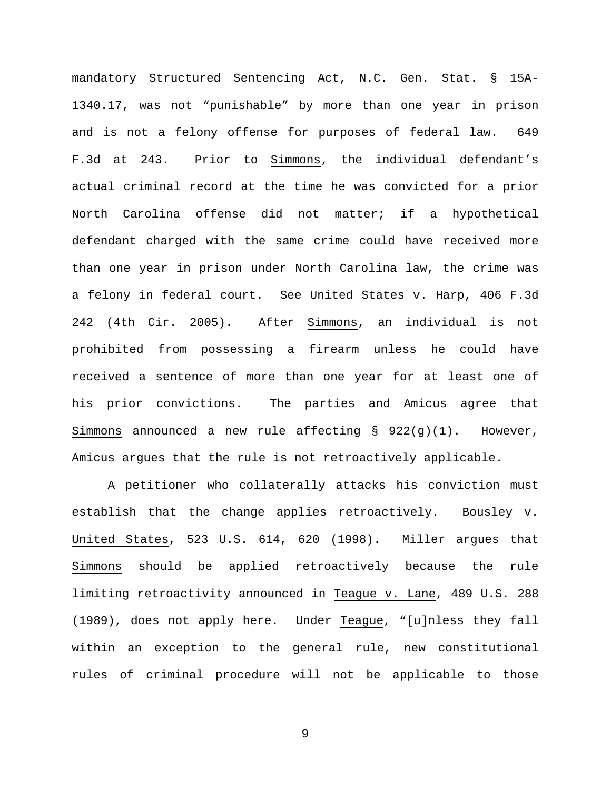mandatory Structured Sentencing Act, N.C. Gen. Stat. § 15A-1340.17, was not "punishable" by more than one year in prison and is not a felony offense for purposes of federal law. 649 F.3d at 243. Prior to Simmons, the individual defendant's actual criminal record at the time he was convicted for a prior North Carolina offense did not matter; if a hypothetical defendant charged with the same crime could have received more than one year in prison under North Carolina law, the crime was a felony in federal court. See United States v. Harp, 406 F.3d 242 (4th Cir. 2005). After Simmons, an individual is not prohibited from possessing a firearm unless he could have received a sentence of more than one year for at least one of his prior convictions. The parties and Amicus agree that Simmons announced a new rule affecting  $\S$  922(g)(1). However, Amicus argues that the rule is not retroactively applicable.

A petitioner who collaterally attacks his conviction must establish that the change applies retroactively. Bousley v. United States, 523 U.S. 614, 620 (1998). Miller argues that Simmons should be applied retroactively because the rule limiting retroactivity announced in Teague v. Lane, 489 U.S. 288 (1989), does not apply here. Under Teague, "[u]nless they fall within an exception to the general rule, new constitutional rules of criminal procedure will not be applicable to those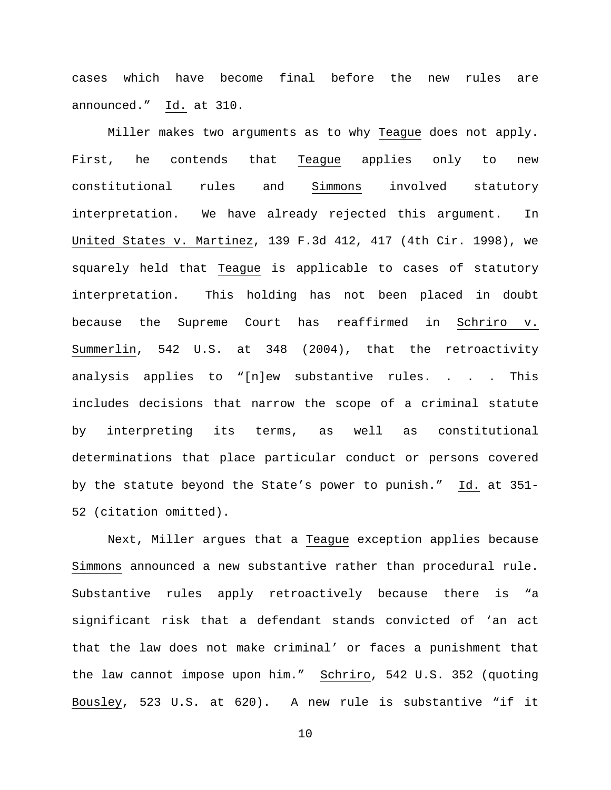cases which have become final before the new rules are announced." Id. at 310.

Miller makes two arguments as to why Teague does not apply. First, he contends that Teague applies only to new constitutional rules and Simmons involved statutory interpretation. We have already rejected this argument. In United States v. Martinez, 139 F.3d 412, 417 (4th Cir. 1998), we squarely held that Teague is applicable to cases of statutory interpretation. This holding has not been placed in doubt because the Supreme Court has reaffirmed in Schriro v. Summerlin, 542 U.S. at 348 (2004), that the retroactivity analysis applies to "[n]ew substantive rules. . . . This includes decisions that narrow the scope of a criminal statute by interpreting its terms, as well as constitutional determinations that place particular conduct or persons covered by the statute beyond the State's power to punish." Id. at 351- 52 (citation omitted).

Next, Miller argues that a Teague exception applies because Simmons announced a new substantive rather than procedural rule. Substantive rules apply retroactively because there is "a significant risk that a defendant stands convicted of 'an act that the law does not make criminal' or faces a punishment that the law cannot impose upon him." Schriro, 542 U.S. 352 (quoting Bousley, 523 U.S. at 620). A new rule is substantive "if it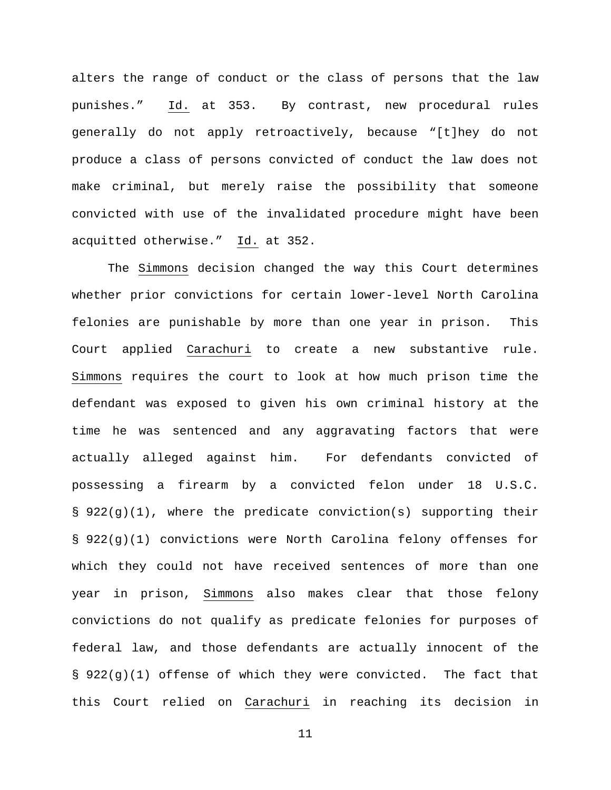alters the range of conduct or the class of persons that the law punishes." Id. at 353. By contrast, new procedural rules generally do not apply retroactively, because "[t]hey do not produce a class of persons convicted of conduct the law does not make criminal, but merely raise the possibility that someone convicted with use of the invalidated procedure might have been acquitted otherwise." Id. at 352.

The Simmons decision changed the way this Court determines whether prior convictions for certain lower-level North Carolina felonies are punishable by more than one year in prison. This Court applied Carachuri to create a new substantive rule. Simmons requires the court to look at how much prison time the defendant was exposed to given his own criminal history at the time he was sentenced and any aggravating factors that were actually alleged against him. For defendants convicted of possessing a firearm by a convicted felon under 18 U.S.C. § 922(g)(1), where the predicate conviction(s) supporting their § 922(g)(1) convictions were North Carolina felony offenses for which they could not have received sentences of more than one year in prison, Simmons also makes clear that those felony convictions do not qualify as predicate felonies for purposes of federal law, and those defendants are actually innocent of the § 922(g)(1) offense of which they were convicted. The fact that this Court relied on Carachuri in reaching its decision in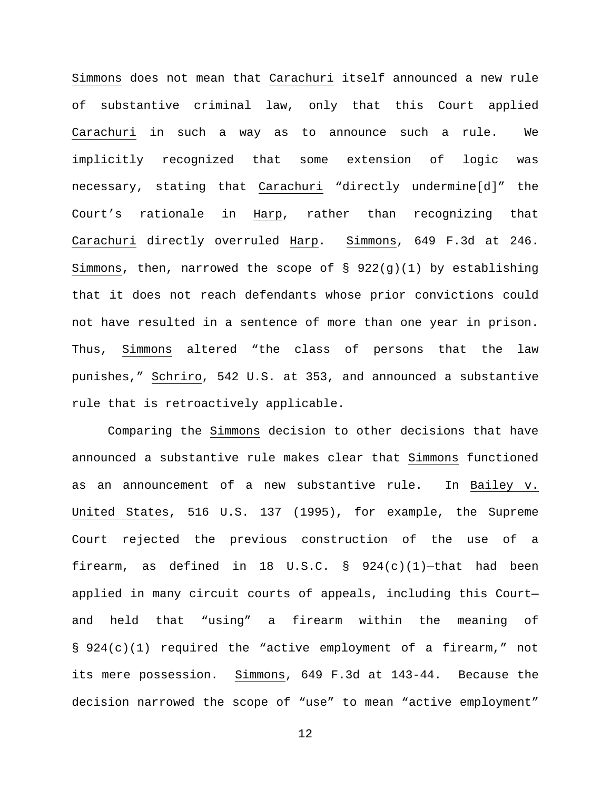Simmons does not mean that Carachuri itself announced a new rule of substantive criminal law, only that this Court applied Carachuri in such a way as to announce such a rule. We implicitly recognized that some extension of logic was necessary, stating that Carachuri "directly undermine[d]" the Court's rationale in Harp, rather than recognizing that Carachuri directly overruled Harp. Simmons, 649 F.3d at 246. Simmons, then, narrowed the scope of § 922(g)(1) by establishing that it does not reach defendants whose prior convictions could not have resulted in a sentence of more than one year in prison. Thus, Simmons altered "the class of persons that the law punishes," Schriro, 542 U.S. at 353, and announced a substantive rule that is retroactively applicable.

Comparing the Simmons decision to other decisions that have announced a substantive rule makes clear that Simmons functioned as an announcement of a new substantive rule. In Bailey v. United States, 516 U.S. 137 (1995), for example, the Supreme Court rejected the previous construction of the use of a firearm, as defined in 18 U.S.C.  $\S$  924(c)(1)-that had been applied in many circuit courts of appeals, including this Court and held that "using" a firearm within the meaning of § 924(c)(1) required the "active employment of a firearm," not its mere possession. Simmons, 649 F.3d at 143-44. Because the decision narrowed the scope of "use" to mean "active employment"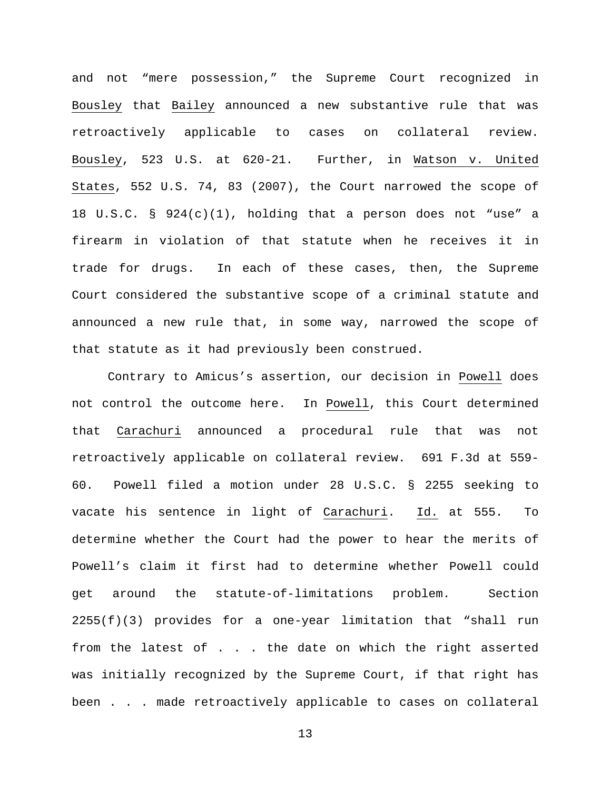and not "mere possession," the Supreme Court recognized in Bousley that Bailey announced a new substantive rule that was retroactively applicable to cases on collateral review. Bousley, 523 U.S. at 620-21. Further, in Watson v. United States, 552 U.S. 74, 83 (2007), the Court narrowed the scope of 18 U.S.C. § 924(c)(1), holding that a person does not "use" a firearm in violation of that statute when he receives it in trade for drugs. In each of these cases, then, the Supreme Court considered the substantive scope of a criminal statute and announced a new rule that, in some way, narrowed the scope of that statute as it had previously been construed.

Contrary to Amicus's assertion, our decision in Powell does not control the outcome here. In Powell, this Court determined that Carachuri announced a procedural rule that was not retroactively applicable on collateral review. 691 F.3d at 559- 60. Powell filed a motion under 28 U.S.C. § 2255 seeking to vacate his sentence in light of Carachuri. Id. at 555. To determine whether the Court had the power to hear the merits of Powell's claim it first had to determine whether Powell could get around the statute-of-limitations problem. Section  $2255(f)(3)$  provides for a one-year limitation that "shall run from the latest of . . . the date on which the right asserted was initially recognized by the Supreme Court, if that right has been . . . made retroactively applicable to cases on collateral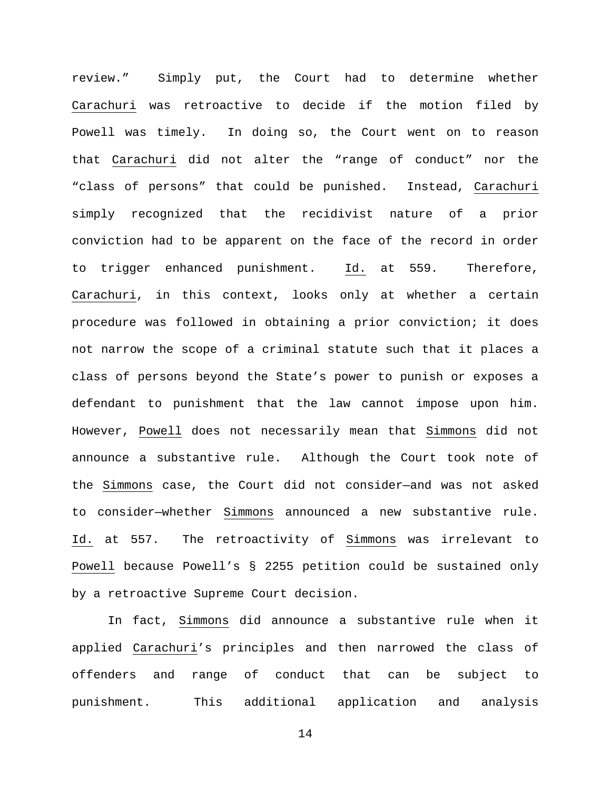review." Simply put, the Court had to determine whether Carachuri was retroactive to decide if the motion filed by Powell was timely. In doing so, the Court went on to reason that Carachuri did not alter the "range of conduct" nor the "class of persons" that could be punished. Instead, Carachuri simply recognized that the recidivist nature of a prior conviction had to be apparent on the face of the record in order to trigger enhanced punishment. Id. at 559. Therefore, Carachuri, in this context, looks only at whether a certain procedure was followed in obtaining a prior conviction; it does not narrow the scope of a criminal statute such that it places a class of persons beyond the State's power to punish or exposes a defendant to punishment that the law cannot impose upon him. However, Powell does not necessarily mean that Simmons did not announce a substantive rule. Although the Court took note of the Simmons case, the Court did not consider—and was not asked to consider—whether Simmons announced a new substantive rule. Id. at 557. The retroactivity of Simmons was irrelevant to Powell because Powell's § 2255 petition could be sustained only by a retroactive Supreme Court decision.

In fact, Simmons did announce a substantive rule when it applied Carachuri's principles and then narrowed the class of offenders and range of conduct that can be subject to punishment. This additional application and analysis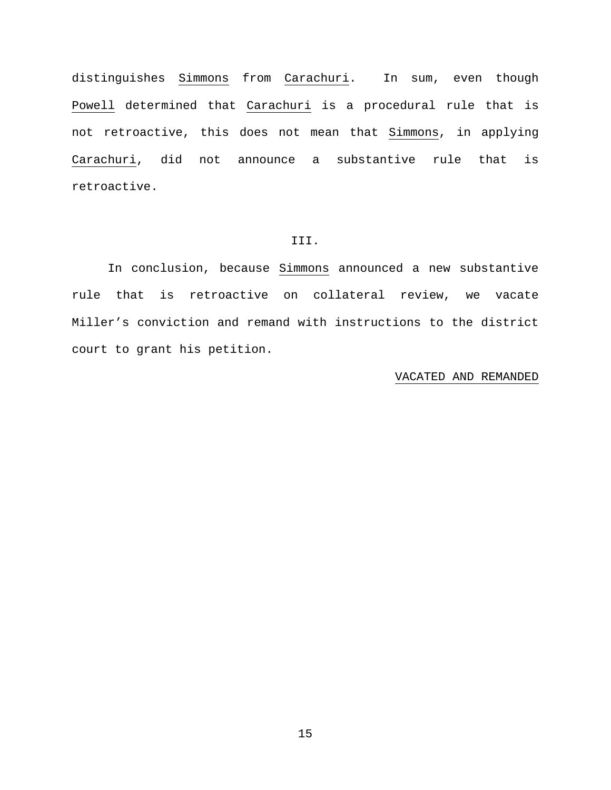distinguishes Simmons from Carachuri. In sum, even though Powell determined that Carachuri is a procedural rule that is not retroactive, this does not mean that Simmons, in applying Carachuri, did not announce a substantive rule that is retroactive.

### III.

In conclusion, because Simmons announced a new substantive rule that is retroactive on collateral review, we vacate Miller's conviction and remand with instructions to the district court to grant his petition.

### VACATED AND REMANDED